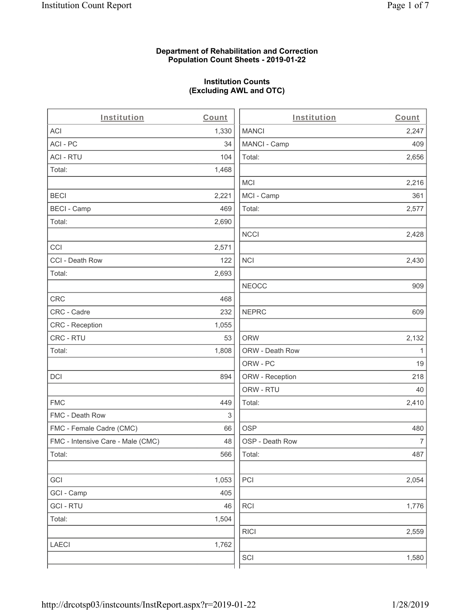## **Department of Rehabilitation and Correction Population Count Sheets - 2019-01-22**

# **Institution Counts (Excluding AWL and OTC)**

. .

| Institution                       | Count | Institution     | Count        |
|-----------------------------------|-------|-----------------|--------------|
| ACI                               | 1,330 | <b>MANCI</b>    | 2,247        |
| ACI-PC                            | 34    | MANCI - Camp    | 409          |
| <b>ACI - RTU</b>                  | 104   | Total:          | 2,656        |
| Total:                            | 1,468 |                 |              |
|                                   |       | MCI             | 2,216        |
| <b>BECI</b>                       | 2,221 | MCI - Camp      | 361          |
| <b>BECI - Camp</b>                | 469   | Total:          | 2,577        |
| Total:                            | 2,690 |                 |              |
|                                   |       | <b>NCCI</b>     | 2,428        |
| CCI                               | 2,571 |                 |              |
| CCI - Death Row                   | 122   | <b>NCI</b>      | 2,430        |
| Total:                            | 2,693 |                 |              |
|                                   |       | <b>NEOCC</b>    | 909          |
| <b>CRC</b>                        | 468   |                 |              |
| CRC - Cadre                       | 232   | <b>NEPRC</b>    | 609          |
| CRC - Reception                   | 1,055 |                 |              |
| CRC - RTU                         | 53    | <b>ORW</b>      | 2,132        |
| Total:                            | 1,808 | ORW - Death Row | $\mathbf{1}$ |
|                                   |       | ORW - PC        | 19           |
| DCI                               | 894   | ORW - Reception | 218          |
|                                   |       | ORW - RTU       | 40           |
| <b>FMC</b>                        | 449   | Total:          | 2,410        |
| FMC - Death Row                   | 3     |                 |              |
| FMC - Female Cadre (CMC)          | 66    | <b>OSP</b>      | 480          |
| FMC - Intensive Care - Male (CMC) | 48    | OSP - Death Row | 7            |
| Total:                            | 566   | Total:          | 487          |
|                                   |       |                 |              |
| GCI                               | 1,053 | PCI             | 2,054        |
| GCI - Camp                        | 405   |                 |              |
| <b>GCI-RTU</b>                    | 46    | <b>RCI</b>      | 1,776        |
| Total:                            | 1,504 |                 |              |
|                                   |       | <b>RICI</b>     | 2,559        |
| <b>LAECI</b>                      | 1,762 |                 |              |
|                                   |       | SCI             | 1,580        |
|                                   |       |                 |              |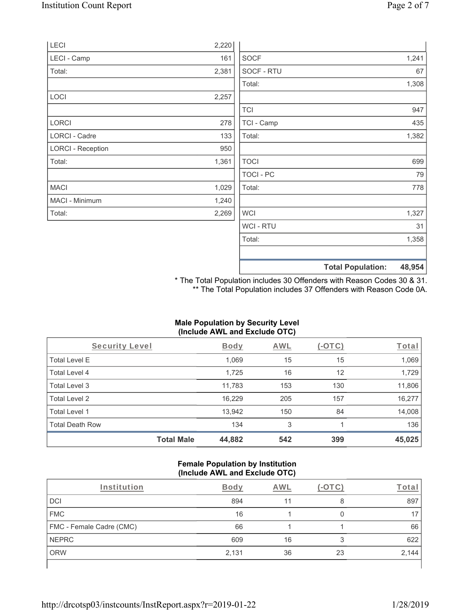|                          |       |                  | <b>Total Population:</b> | 48,954 |
|--------------------------|-------|------------------|--------------------------|--------|
|                          |       |                  |                          |        |
|                          |       | Total:           |                          | 1,358  |
|                          |       | WCI - RTU        |                          | 31     |
| Total:                   | 2,269 | <b>WCI</b>       |                          | 1,327  |
| MACI - Minimum           | 1,240 |                  |                          |        |
| <b>MACI</b>              | 1,029 | Total:           |                          | 778    |
|                          |       | <b>TOCI - PC</b> |                          | 79     |
| Total:                   | 1,361 | <b>TOCI</b>      |                          | 699    |
| <b>LORCI - Reception</b> | 950   |                  |                          |        |
| LORCI - Cadre            | 133   | Total:           |                          | 1,382  |
| <b>LORCI</b>             | 278   | TCI - Camp       |                          | 435    |
|                          |       | <b>TCI</b>       |                          | 947    |
| LOCI                     | 2,257 |                  |                          |        |
|                          |       | Total:           |                          | 1,308  |
| Total:                   | 2,381 | SOCF - RTU       |                          | 67     |
| LECI - Camp              | 161   | <b>SOCF</b>      |                          | 1,241  |
| <b>LECI</b>              | 2,220 |                  |                          |        |

\* The Total Population includes 30 Offenders with Reason Codes 30 & 31. \*\* The Total Population includes 37 Offenders with Reason Code 0A.

## **Male Population by Security Level (Include AWL and Exclude OTC)**

| Security Level         |                   | <b>Body</b> | <b>AWL</b> | $(-\text{OTC})$ | Total  |
|------------------------|-------------------|-------------|------------|-----------------|--------|
| <b>Total Level E</b>   |                   | 1,069       | 15         | 15              | 1,069  |
| Total Level 4          |                   | 1,725       | 16         | 12              | 1,729  |
| Total Level 3          |                   | 11,783      | 153        | 130             | 11,806 |
| Total Level 2          |                   | 16,229      | 205        | 157             | 16,277 |
| Total Level 1          |                   | 13,942      | 150        | 84              | 14,008 |
| <b>Total Death Row</b> |                   | 134         | 3          |                 | 136    |
|                        | <b>Total Male</b> | 44,882      | 542        | 399             | 45,025 |

## **Female Population by Institution (Include AWL and Exclude OTC)**

| Institution              | Body  | AWL |    | Tota  |
|--------------------------|-------|-----|----|-------|
| <b>DCI</b>               | 894   |     |    | 897   |
| <b>FMC</b>               | 16    |     |    |       |
| FMC - Female Cadre (CMC) | 66    |     |    | 66    |
| NEPRC                    | 609   | 16  | 3  | 622   |
| <b>ORW</b>               | 2,131 | 36  | 23 | 2,144 |
|                          |       |     |    |       |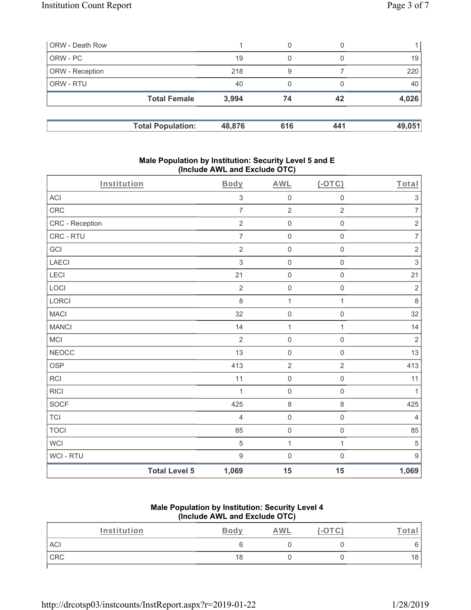| ORW - Death Row |                          |        | 0   |     |        |
|-----------------|--------------------------|--------|-----|-----|--------|
| ORW - PC        |                          | 19     | 0   |     | 19     |
| ORW - Reception |                          | 218    | 9   |     | 220    |
| ORW - RTU       |                          | 40     | 0   |     | 40     |
|                 | <b>Total Female</b>      | 3,994  | 74  | 42  | 4,026  |
|                 |                          |        |     |     |        |
|                 | <b>Total Population:</b> | 48,876 | 616 | 441 | 49,051 |

#### **Male Population by Institution: Security Level 5 and E (Include AWL and Exclude OTC)**

| Institution     |                      | <b>Body</b>      | <b>AWL</b>          | $($ -OTC $)$        | Total            |
|-----------------|----------------------|------------------|---------------------|---------------------|------------------|
| ACI             |                      | $\,$ 3 $\,$      | $\mathsf{O}\xspace$ | $\mathsf 0$         | $\sqrt{3}$       |
| CRC             |                      | $\overline{7}$   | $\sqrt{2}$          | $\overline{2}$      | $\overline{7}$   |
| CRC - Reception |                      | $\overline{2}$   | $\mathsf 0$         | $\mathsf 0$         | $\sqrt{2}$       |
| CRC - RTU       |                      | $\overline{7}$   | $\mathsf{O}\xspace$ | $\mathsf{O}\xspace$ | $\boldsymbol{7}$ |
| GCI             |                      | $\sqrt{2}$       | $\mathsf{O}\xspace$ | $\mathsf 0$         | $\sqrt{2}$       |
| LAECI           |                      | $\mathfrak{S}$   | $\mathsf{O}\xspace$ | $\mathsf 0$         | $\mathsf 3$      |
| LECI            |                      | 21               | $\mathbf 0$         | $\mathsf{O}\xspace$ | 21               |
| LOCI            |                      | $\overline{2}$   | $\mathsf{O}\xspace$ | $\mathsf 0$         | $\overline{2}$   |
| LORCI           |                      | 8                | $\mathbf 1$         | $\mathbf{1}$        | $\,8\,$          |
| <b>MACI</b>     |                      | 32               | $\mathsf{O}\xspace$ | $\mathbf 0$         | 32               |
| <b>MANCI</b>    |                      | 14               | $\mathbf{1}$        | $\mathbf{1}$        | 14               |
| <b>MCI</b>      |                      | $\overline{2}$   | $\mathsf{O}\xspace$ | $\mathbf 0$         | $\sqrt{2}$       |
| <b>NEOCC</b>    |                      | 13               | $\mathsf{O}\xspace$ | $\mathsf 0$         | 13               |
| <b>OSP</b>      |                      | 413              | $\sqrt{2}$          | $\overline{2}$      | 413              |
| <b>RCI</b>      |                      | 11               | $\mathsf{O}\xspace$ | $\mathsf 0$         | 11               |
| <b>RICI</b>     |                      | 1                | $\mathbf 0$         | $\mathsf{O}\xspace$ | $\mathbf{1}$     |
| SOCF            |                      | 425              | $\,8\,$             | 8                   | 425              |
| <b>TCI</b>      |                      | $\overline{4}$   | $\mathsf{O}$        | $\mathsf 0$         | $\overline{4}$   |
| <b>TOCI</b>     |                      | 85               | $\mathsf{O}\xspace$ | $\mathsf 0$         | 85               |
| <b>WCI</b>      |                      | $\sqrt{5}$       | $\mathbf{1}$        | $\mathbf{1}$        | $\sqrt{5}$       |
| WCI - RTU       |                      | $\boldsymbol{9}$ | $\mathbf 0$         | $\mathsf{O}\xspace$ | $9\,$            |
|                 | <b>Total Level 5</b> | 1,069            | 15                  | 15                  | 1,069            |

## **Male Population by Institution: Security Level 4 (Include AWL and Exclude OTC)**

| Institution | Body | <u>AWL</u> | $\hspace{0.1mm}-\hspace{0.1mm}$ | <u>. otal</u> |
|-------------|------|------------|---------------------------------|---------------|
| ACI         |      |            |                                 |               |
| CRC         | 18   |            |                                 | 18            |
|             |      |            |                                 |               |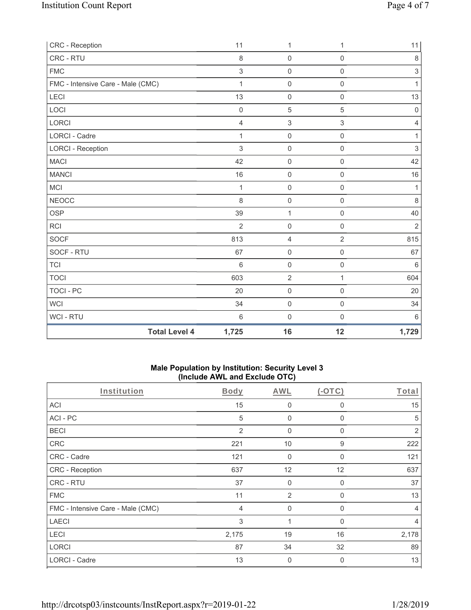| CRC - Reception                   | 11                            | 1                                     | 1                   | 11               |
|-----------------------------------|-------------------------------|---------------------------------------|---------------------|------------------|
| CRC - RTU                         |                               | 8<br>$\mathbf 0$                      | $\mathbf 0$         | $\,8\,$          |
| <b>FMC</b>                        |                               | $\mathfrak{S}$<br>$\mathsf{O}\xspace$ | $\mathsf{O}\xspace$ | $\,3$            |
| FMC - Intensive Care - Male (CMC) |                               | $\mathbf{1}$<br>0                     | $\mathbf 0$         | $\mathbf{1}$     |
| LECI                              | 13                            | $\mathsf{O}\xspace$                   | $\mathsf{O}\xspace$ | 13               |
| LOCI                              | $\mathbf 0$                   | $\sqrt{5}$                            | 5                   | $\boldsymbol{0}$ |
| LORCI                             |                               | $\sqrt{3}$<br>$\overline{4}$          | 3                   | $\overline{4}$   |
| LORCI - Cadre                     |                               | $\mathbf{1}$<br>$\mathsf{O}\xspace$   | $\mathsf{O}\xspace$ | $\mathbf{1}$     |
| <b>LORCI - Reception</b>          |                               | 3<br>$\mathsf{O}\xspace$              | $\mathsf 0$         | 3                |
| <b>MACI</b>                       | 42                            | $\mathbf 0$                           | $\mathsf{O}\xspace$ | 42               |
| <b>MANCI</b>                      | 16                            | $\mathsf{O}\xspace$                   | 0                   | 16               |
| MCI                               |                               | $\boldsymbol{0}$<br>$\mathbf{1}$      | $\mathsf 0$         | 1                |
| <b>NEOCC</b>                      |                               | 8<br>$\mathsf{O}$                     | $\mathsf{O}\xspace$ | $\,8\,$          |
| <b>OSP</b>                        | 39                            | 1                                     | 0                   | 40               |
| <b>RCI</b>                        |                               | $\overline{2}$<br>$\mathsf{O}\xspace$ | $\mathbf 0$         | 2                |
| <b>SOCF</b>                       | 813                           | 4                                     | $\overline{2}$      | 815              |
| SOCF - RTU                        | 67                            | $\mathsf{O}\xspace$                   | $\mathbf 0$         | 67               |
| <b>TCI</b>                        | $6\phantom{1}$                | $\mathsf{O}\xspace$                   | $\mathbf 0$         | $6\,$            |
| <b>TOCI</b>                       | 603                           | $\sqrt{2}$                            | 1                   | 604              |
| TOCI - PC                         | 20                            | $\mathbf 0$                           | $\mathbf 0$         | 20               |
| <b>WCI</b>                        | 34                            | $\mathbf 0$                           | $\mathsf{O}\xspace$ | 34               |
| WCI - RTU                         | $6\phantom{1}6$               | 0                                     | $\mathbf 0$         | 6                |
|                                   | <b>Total Level 4</b><br>1,725 | 16                                    | 12                  | 1,729            |

## **Male Population by Institution: Security Level 3 (Include AWL and Exclude OTC)**

| Institution                       | <b>Body</b> | <b>AWL</b>   | $(-OTC)$    | Total          |
|-----------------------------------|-------------|--------------|-------------|----------------|
| <b>ACI</b>                        | 15          | 0            | 0           | 15             |
| ACI-PC                            | 5           | $\mathbf 0$  | $\Omega$    | 5              |
| <b>BECI</b>                       | 2           | $\mathbf 0$  | 0           | 2              |
| CRC                               | 221         | 10           | 9           | 222            |
| CRC - Cadre                       | 121         | $\mathbf 0$  | $\Omega$    | 121            |
| CRC - Reception                   | 637         | 12           | 12          | 637            |
| CRC - RTU                         | 37          | 0            | 0           | 37             |
| <b>FMC</b>                        | 11          | 2            | $\Omega$    | 13             |
| FMC - Intensive Care - Male (CMC) | 4           | $\mathbf{0}$ | $\Omega$    | $\overline{4}$ |
| <b>LAECI</b>                      | 3           | 1            | 0           | 4              |
| LECI                              | 2,175       | 19           | 16          | 2,178          |
| <b>LORCI</b>                      | 87          | 34           | 32          | 89             |
| <b>LORCI - Cadre</b>              | 13          | 0            | $\mathbf 0$ | 13             |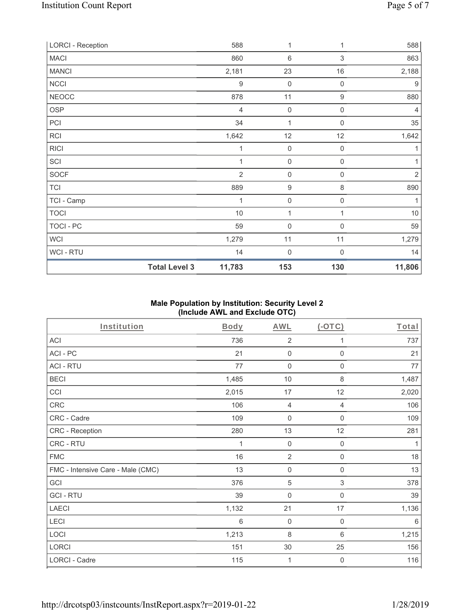| <b>LORCI - Reception</b> |                      | 588              | 1                   | 1                | 588              |
|--------------------------|----------------------|------------------|---------------------|------------------|------------------|
| <b>MACI</b>              |                      | 860              | 6                   | 3                | 863              |
| <b>MANCI</b>             |                      | 2,181            | 23                  | 16               | 2,188            |
| <b>NCCI</b>              |                      | $\boldsymbol{9}$ | $\mathbf 0$         | 0                | $\boldsymbol{9}$ |
| <b>NEOCC</b>             |                      | 878              | 11                  | $\boldsymbol{9}$ | 880              |
| <b>OSP</b>               |                      | $\overline{4}$   | $\mathbf 0$         | $\boldsymbol{0}$ | $\overline{4}$   |
| PCI                      |                      | 34               | 1                   | $\mathbf 0$      | 35               |
| RCI                      |                      | 1,642            | 12                  | 12               | 1,642            |
| <b>RICI</b>              |                      | 1                | $\mathsf{O}\xspace$ | 0                | 1                |
| SCI                      |                      | 1                | 0                   | 0                | 1                |
| SOCF                     |                      | $\overline{2}$   | $\mathsf{O}\xspace$ | $\mathbf 0$      | $\overline{2}$   |
| <b>TCI</b>               |                      | 889              | $\boldsymbol{9}$    | 8                | 890              |
| TCI - Camp               |                      | 1                | $\mathbf 0$         | 0                | 1                |
| <b>TOCI</b>              |                      | $10$             | $\mathbf{1}$        | 1                | $10$             |
| TOCI - PC                |                      | 59               | $\mathbf 0$         | $\mathbf 0$      | 59               |
| WCI                      |                      | 1,279            | 11                  | 11               | 1,279            |
| WCI - RTU                |                      | 14               | $\mathbf 0$         | 0                | 14               |
|                          | <b>Total Level 3</b> | 11,783           | 153                 | 130              | 11,806           |

## **Male Population by Institution: Security Level 2 (Include AWL and Exclude OTC)**

| <b>Institution</b>                | Body  | <b>AWL</b>     | (OTC)               | Total |
|-----------------------------------|-------|----------------|---------------------|-------|
| ACI                               | 736   | $\overline{2}$ | 1                   | 737   |
| ACI-PC                            | 21    | $\mathbf 0$    | $\mathbf 0$         | 21    |
| <b>ACI - RTU</b>                  | 77    | $\mathbf 0$    | $\boldsymbol{0}$    | 77    |
| <b>BECI</b>                       | 1,485 | 10             | 8                   | 1,487 |
| CCI                               | 2,015 | 17             | 12                  | 2,020 |
| CRC                               | 106   | 4              | 4                   | 106   |
| CRC - Cadre                       | 109   | $\mathbf 0$    | $\mathsf{O}\xspace$ | 109   |
| CRC - Reception                   | 280   | 13             | 12                  | 281   |
| CRC - RTU                         | 1     | $\mathbf 0$    | $\boldsymbol{0}$    | 1     |
| <b>FMC</b>                        | 16    | $\overline{2}$ | $\mathsf{O}\xspace$ | 18    |
| FMC - Intensive Care - Male (CMC) | 13    | $\mathbf 0$    | $\boldsymbol{0}$    | 13    |
| GCI                               | 376   | $\sqrt{5}$     | $\sqrt{3}$          | 378   |
| <b>GCI-RTU</b>                    | 39    | $\mathbf 0$    | $\boldsymbol{0}$    | 39    |
| <b>LAECI</b>                      | 1,132 | 21             | 17                  | 1,136 |
| LECI                              | 6     | $\mathbf 0$    | 0                   | 6     |
| LOCI                              | 1,213 | 8              | 6                   | 1,215 |
| <b>LORCI</b>                      | 151   | $30\,$         | 25                  | 156   |
| LORCI - Cadre                     | 115   | 1              | 0                   | 116   |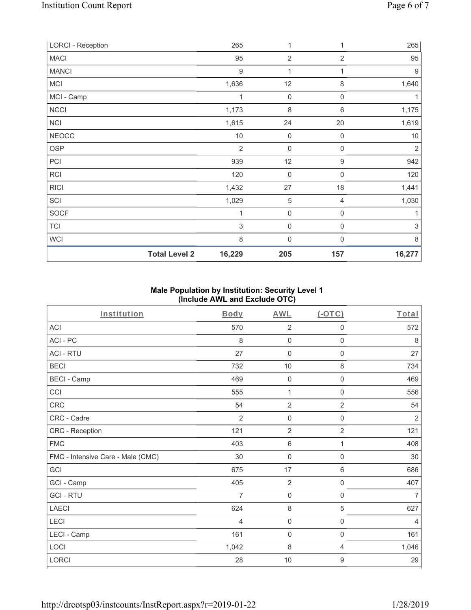| <b>LORCI - Reception</b> |                      | 265              | 1              | 1                | 265                       |
|--------------------------|----------------------|------------------|----------------|------------------|---------------------------|
| <b>MACI</b>              |                      | 95               | $\overline{2}$ | $\overline{2}$   | 95                        |
| <b>MANCI</b>             |                      | $\boldsymbol{9}$ | 1              | 1                | $9\,$                     |
| <b>MCI</b>               |                      | 1,636            | 12             | $\,8\,$          | 1,640                     |
| MCI - Camp               |                      | 1                | $\mathbf 0$    | $\mathbf 0$      |                           |
| NCCI                     |                      | 1,173            | 8              | 6                | 1,175                     |
| <b>NCI</b>               |                      | 1,615            | 24             | 20               | 1,619                     |
| <b>NEOCC</b>             |                      | $10$             | $\mathbf 0$    | $\mathbf 0$      | $10$                      |
| OSP                      |                      | $\overline{2}$   | $\mathbf 0$    | $\mathbf 0$      | 2                         |
| PCI                      |                      | 939              | 12             | $\boldsymbol{9}$ | 942                       |
| RCI                      |                      | 120              | $\mathbf 0$    | $\mathbf 0$      | 120                       |
| <b>RICI</b>              |                      | 1,432            | 27             | 18               | 1,441                     |
| SCI                      |                      | 1,029            | 5              | 4                | 1,030                     |
| <b>SOCF</b>              |                      | 1                | $\mathbf 0$    | $\mathbf 0$      |                           |
| <b>TCI</b>               |                      | $\mathfrak{S}$   | 0              | $\boldsymbol{0}$ | $\ensuremath{\mathsf{3}}$ |
| <b>WCI</b>               |                      | 8                | $\mathbf 0$    | $\Omega$         | 8                         |
|                          | <b>Total Level 2</b> | 16,229           | 205            | 157              | 16,277                    |

## **Male Population by Institution: Security Level 1 (Include AWL and Exclude OTC)**

| Institution                       | <b>Body</b>    | <b>AWL</b>          | (OTC)          | Total          |
|-----------------------------------|----------------|---------------------|----------------|----------------|
| <b>ACI</b>                        | 570            | $\overline{2}$      | 0              | 572            |
| ACI-PC                            | 8              | $\mathbf 0$         | $\mathbf 0$    | 8              |
| <b>ACI - RTU</b>                  | 27             | $\mathbf 0$         | 0              | 27             |
| <b>BECI</b>                       | 732            | 10                  | 8              | 734            |
| <b>BECI - Camp</b>                | 469            | $\boldsymbol{0}$    | 0              | 469            |
| CCI                               | 555            | $\mathbf{1}$        | 0              | 556            |
| CRC                               | 54             | $\overline{2}$      | $\overline{2}$ | 54             |
| CRC - Cadre                       | $\overline{2}$ | $\mathbf 0$         | 0              | $\overline{2}$ |
| CRC - Reception                   | 121            | $\overline{2}$      | $\overline{2}$ | 121            |
| <b>FMC</b>                        | 403            | $\,6\,$             | 1              | 408            |
| FMC - Intensive Care - Male (CMC) | 30             | $\mathsf{O}\xspace$ | 0              | 30             |
| GCI                               | 675            | 17                  | 6              | 686            |
| GCI - Camp                        | 405            | $\overline{2}$      | $\mathsf 0$    | 407            |
| <b>GCI-RTU</b>                    | 7              | $\mathbf 0$         | $\mathbf 0$    | $\overline{7}$ |
| <b>LAECI</b>                      | 624            | $\,8\,$             | 5              | 627            |
| LECI                              | $\overline{4}$ | $\mathsf{O}\xspace$ | $\mathsf 0$    | $\overline{4}$ |
| LECI - Camp                       | 161            | $\mathbf 0$         | $\mathsf 0$    | 161            |
| LOCI                              | 1,042          | 8                   | 4              | 1,046          |
| LORCI                             | 28             | $10$                | 9              | 29             |